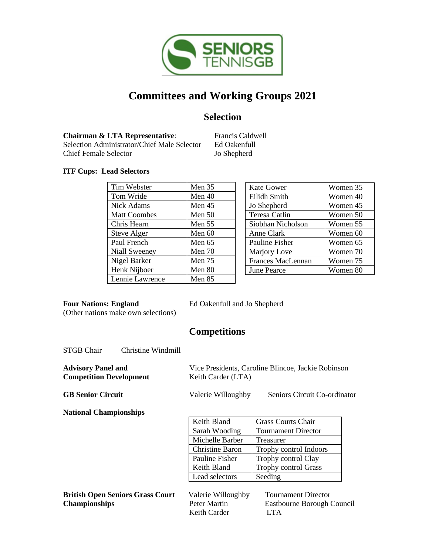

# **Committees and Working Groups 2021**

## **Selection**

**Chairman & LTA Representative:** Francis Caldwell Selection Administrator/Chief Male Selector Ed Oakenfull Chief Female Selector Jo Shepherd

### **ITF Cups: Lead Selectors**

| Tim Webster         | Men $35$ | <b>Kate Gower</b>        | Women 35 |
|---------------------|----------|--------------------------|----------|
| Tom Wride           | Men $40$ | Eilidh Smith             | Women 40 |
| <b>Nick Adams</b>   | Men $45$ | Jo Shepherd              | Women 45 |
| <b>Matt Coombes</b> | Men $50$ | Teresa Catlin            | Women 50 |
| Chris Hearn         | Men $55$ | Siobhan Nicholson        | Women 55 |
| Steve Alger         | Men $60$ | Anne Clark               | Women 60 |
| Paul French         | Men $65$ | Pauline Fisher           | Women 65 |
| Niall Sweeney       | Men $70$ | Marjory Love             | Women 70 |
| Nigel Barker        | Men $75$ | <b>Frances MacLennan</b> | Women 75 |
| Henk Nijboer        | Men 80   | <b>June Pearce</b>       | Women 80 |
| Lennie Lawrence     | Men 85   |                          |          |

(Other nations make own selections)

**Four Nations: England** Ed Oakenfull and Jo Shepherd

### **Competitions**

STGB Chair Christine Windmill

| <b>Advisory Panel and</b><br><b>Competition Development</b> | Keith Carder (LTA) | Vice Presidents, Caroline Blincoe, Jackie Robinson |  |  |
|-------------------------------------------------------------|--------------------|----------------------------------------------------|--|--|
| <b>GB Senior Circuit</b>                                    | Valerie Willoughby | Seniors Circuit Co-ordinator                       |  |  |
| <b>National Championships</b>                               |                    |                                                    |  |  |
|                                                             | Keith Bland        | <b>Grass Courts Chair</b>                          |  |  |
|                                                             | Sarah Wooding      | Tournament Director                                |  |  |
|                                                             |                    |                                                    |  |  |

| Sarah Wooding   | <b>Tournament Director</b> |  |
|-----------------|----------------------------|--|
| Michelle Barber | Treasurer                  |  |
| Christine Baron | Trophy control Indoors     |  |
| Pauline Fisher  | Trophy control Clay        |  |
| Keith Bland     | Trophy control Grass       |  |
| Lead selectors  | Seeding                    |  |

**British Open Seniors Grass Court** Valerie Willoughby Tournament Director **Championships** Peter Martin Eastbourne Borough Council

Keith Carder LTA